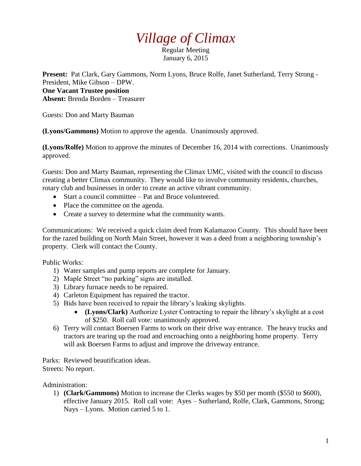## *Village of Climax*

Regular Meeting January 6, 2015

**Present:** Pat Clark, Gary Gammons, Norm Lyons, Bruce Rolfe, Janet Sutherland, Terry Strong - President, Mike Gibson – DPW.

## **One Vacant Trustee position Absent:** Brenda Borden – Treasurer

Guests: Don and Marty Bauman

**(Lyons/Gammons)** Motion to approve the agenda. Unanimously approved.

**(Lyons/Rolfe)** Motion to approve the minutes of December 16, 2014 with corrections. Unanimously approved.

Guests: Don and Marty Bauman, representing the Climax UMC, visited with the council to discuss creating a better Climax community. They would like to involve community residents, churches, rotary club and businesses in order to create an active vibrant community.

- Start a council committee Pat and Bruce volunteered.
- Place the committee on the agenda.
- Create a survey to determine what the community wants.

Communications: We received a quick claim deed from Kalamazoo County. This should have been for the razed building on North Main Street, however it was a deed from a neighboring township's property. Clerk will contact the County.

Public Works:

- 1) Water samples and pump reports are complete for January.
- 2) Maple Street "no parking" signs are installed.
- 3) Library furnace needs to be repaired.
- 4) Carleton Equipment has repaired the tractor.
- 5) Bids have been received to repair the library's leaking skylights.
	- **(Lyons/Clark)** Authorize Lyster Contracting to repair the library's skylight at a cost of \$250. Roll call vote: unanimously approved.
- 6) Terry will contact Boersen Farms to work on their drive way entrance. The heavy trucks and tractors are tearing up the road and encroaching onto a neighboring home property. Terry will ask Boersen Farms to adjust and improve the driveway entrance.

Parks: Reviewed beautification ideas. Streets: No report.

Administration:

1) **(Clark/Gammons)** Motion to increase the Clerks wages by \$50 per month (\$550 to \$600), effective January 2015. Roll call vote: Ayes – Sutherland, Rolfe, Clark, Gammons, Strong; Nays – Lyons. Motion carried 5 to 1.